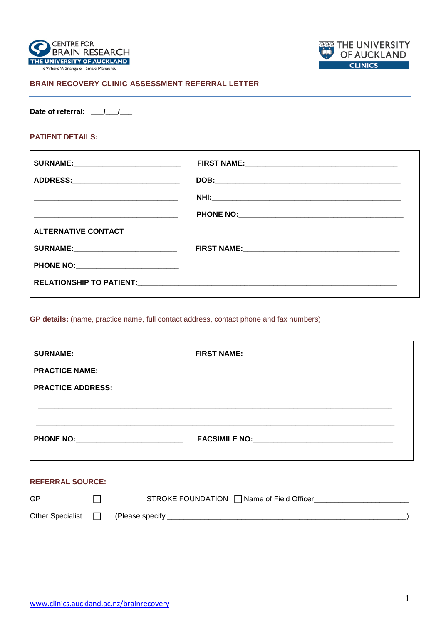



# BRAIN RECOVERY CLINIC ASSESSMENT REFERRAL LETTER

Date of referral:  $1/2$ 

# **PATIENT DETAILS:**

 $\mathbf{r}$ 

| <b>SURNAME:________________________________</b> |  |
|-------------------------------------------------|--|
| ADDRESS:_____________________________           |  |
|                                                 |  |
|                                                 |  |
| <b>ALTERNATIVE CONTACT</b>                      |  |
|                                                 |  |
| PHONE NO: _______________________________       |  |
|                                                 |  |
|                                                 |  |

GP details: (name, practice name, full contact address, contact phone and fax numbers)

| <b>SURNAME:_______________________________</b> |  |
|------------------------------------------------|--|
|                                                |  |
|                                                |  |
|                                                |  |
|                                                |  |
|                                                |  |
|                                                |  |

#### **REFERRAL SOURCE:**

| GP                      | STROKE FOUNDATION Π Name of Field Officer |
|-------------------------|-------------------------------------------|
| Other Specialist $\Box$ | (Please specify                           |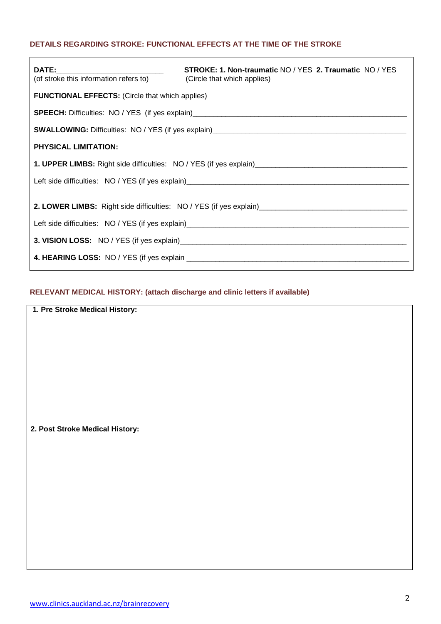## **DETAILS REGARDING STROKE: FUNCTIONAL EFFECTS AT THE TIME OF THE STROKE**

| (of stroke this information refers to) (Circle that which applies) | <b>STROKE: 1. Non-traumatic NO / YES 2. Traumatic NO / YES</b> |  |
|--------------------------------------------------------------------|----------------------------------------------------------------|--|
| <b>FUNCTIONAL EFFECTS: (Circle that which applies)</b>             |                                                                |  |
|                                                                    |                                                                |  |
|                                                                    |                                                                |  |
| <b>PHYSICAL LIMITATION:</b>                                        |                                                                |  |
|                                                                    |                                                                |  |
|                                                                    |                                                                |  |
|                                                                    |                                                                |  |
|                                                                    |                                                                |  |

# **RELEVANT MEDICAL HISTORY: (attach discharge and clinic letters if available)**

**1. Pre Stroke Medical History:**

**2. Post Stroke Medical History:**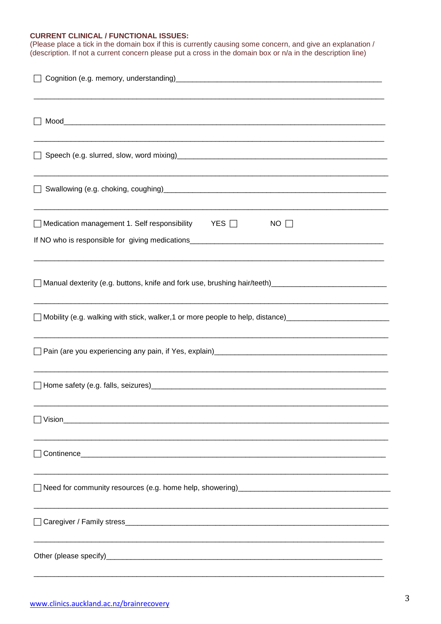## **CURRENT CLINICAL / FUNCTIONAL ISSUES:**

| (Please place a tick in the domain box if this is currently causing some concern, and give an explanation /<br>(description. If not a current concern please put a cross in the domain box or n/a in the description line) |  |  |
|----------------------------------------------------------------------------------------------------------------------------------------------------------------------------------------------------------------------------|--|--|
|                                                                                                                                                                                                                            |  |  |
|                                                                                                                                                                                                                            |  |  |
|                                                                                                                                                                                                                            |  |  |
|                                                                                                                                                                                                                            |  |  |
| $\Box$ Medication management 1. Self responsibility $\qquad$ YES $\Box$<br>$NO \Box$                                                                                                                                       |  |  |
| Manual dexterity (e.g. buttons, knife and fork use, brushing hair/teeth)___________________________                                                                                                                        |  |  |
| Mobility (e.g. walking with stick, walker, 1 or more people to help, distance)____________________________                                                                                                                 |  |  |
|                                                                                                                                                                                                                            |  |  |
| Home safety (e.g. falls, seizures) example and the same and the same same same same and the same same same same                                                                                                            |  |  |
|                                                                                                                                                                                                                            |  |  |
|                                                                                                                                                                                                                            |  |  |
|                                                                                                                                                                                                                            |  |  |
|                                                                                                                                                                                                                            |  |  |
|                                                                                                                                                                                                                            |  |  |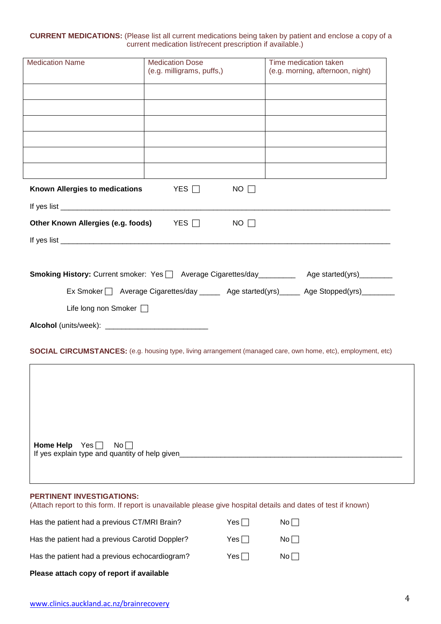### **CURRENT MEDICATIONS:** (Please list all current medications being taken by patient and enclose a copy of a current medication list/recent prescription if available.)

| <b>Medication Name</b>                             | <b>Medication Dose</b><br>(e.g. milligrams, puffs,) |             | Time medication taken<br>(e.g. morning, afternoon, night)                                                           |
|----------------------------------------------------|-----------------------------------------------------|-------------|---------------------------------------------------------------------------------------------------------------------|
|                                                    |                                                     |             |                                                                                                                     |
|                                                    |                                                     |             |                                                                                                                     |
|                                                    |                                                     |             |                                                                                                                     |
|                                                    |                                                     |             |                                                                                                                     |
|                                                    |                                                     |             |                                                                                                                     |
|                                                    |                                                     |             |                                                                                                                     |
| Known Allergies to medications                     | YES $\Box$                                          | $NO$ $\Box$ |                                                                                                                     |
|                                                    |                                                     |             |                                                                                                                     |
| Other Known Allergies (e.g. foods)                 | $YES$ $\Box$                                        | $NO \Box$   |                                                                                                                     |
|                                                    |                                                     |             |                                                                                                                     |
|                                                    |                                                     |             |                                                                                                                     |
|                                                    |                                                     |             | Smoking History: Current smoker: Yes   Average Cigarettes/day ________ Age started(yrs) _______                     |
|                                                    |                                                     |             | Ex Smoker   Average Cigarettes/day ______ Age started(yrs)_____ Age Stopped(yrs)________                            |
| Life long non Smoker [                             |                                                     |             |                                                                                                                     |
|                                                    |                                                     |             |                                                                                                                     |
|                                                    |                                                     |             |                                                                                                                     |
|                                                    |                                                     |             | <b>SOCIAL CIRCUMSTANCES:</b> (e.g. housing type, living arrangement (managed care, own home, etc), employment, etc) |
|                                                    |                                                     |             |                                                                                                                     |
|                                                    |                                                     |             |                                                                                                                     |
|                                                    |                                                     |             |                                                                                                                     |
|                                                    |                                                     |             |                                                                                                                     |
| <b>Home Help</b> $Yes \Box$<br>$\mathsf{No}\,\Box$ |                                                     |             |                                                                                                                     |
| If yes explain type and quantity of help given_    |                                                     |             |                                                                                                                     |
|                                                    |                                                     |             |                                                                                                                     |
| PERTINENT INVESTIGATIONS:                          |                                                     |             |                                                                                                                     |

## (Attach report to this form. If report is unavailable please give hospital details and dates of test if known)

| Please attach copy of report if available       |        |    |
|-------------------------------------------------|--------|----|
| Has the patient had a previous echocardiogram?  | Yes II | No |
| Has the patient had a previous Carotid Doppler? | Yes II | No |
| Has the patient had a previous CT/MRI Brain?    | Yes ⊟  | No |